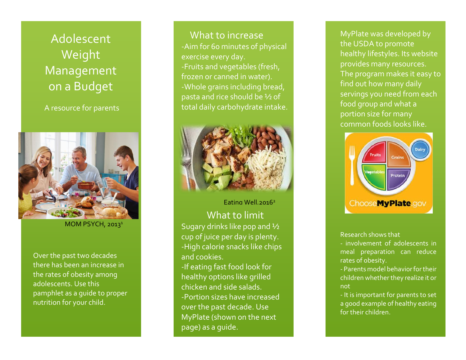Adolescent<sup>'</sup> Weight Management on a Budget

A resource for parents



MOM PSYCH, 2013<sup>1</sup>

Over the past two decades there has been an increase in the rates of obesity among adolescents. Use this pamphlet as a guide to proper nutrition for your child.

 What to increase -Aim for 60 minutes of physical exercise every day. -Fruits and vegetables (fresh, frozen or canned in water). -Whole grains including bread, pasta and rice should be ½ of total daily carbohydrate intake.



## Eating Well,20162

What to limit Sugary drinks like pop and ½ cup of juice per day is plenty. -High calorie snacks like chips and cookies.

-If eating fast food look for healthy options like grilled chicken and side salads. -Portion sizes have increased over the past decade. Use MyPlate (shown on the next page) as a guide.

MyPlate was developed by the USDA to promote healthy lifestyles. Its website provides many resources. The program makes it easy to find out how many daily servings you need from each food group and what a portion size for many common foods looks like.



## Research shows that

- involvement of adolescents in meal preparation can reduce rates of obesity.

- Parents model behavior for their children whether they realize it or not

- It is important for parents to set a good example of healthy eating for their children.